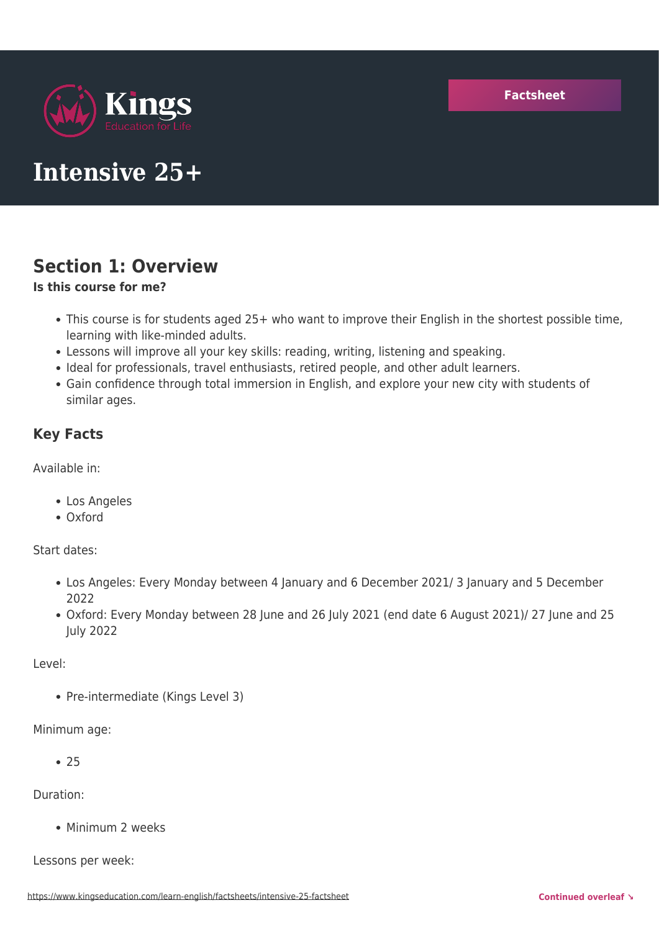

# **Intensive 25+**

## **Section 1: Overview**

#### **Is this course for me?**

- This course is for students aged 25+ who want to improve their English in the shortest possible time, learning with like-minded adults.
- Lessons will improve all your key skills: reading, writing, listening and speaking.
- Ideal for professionals, travel enthusiasts, retired people, and other adult learners.
- Gain confidence through total immersion in English, and explore your new city with students of similar ages.

#### **Key Facts**

Available in:

- Los Angeles
- Oxford

Start dates:

- Los Angeles: Every Monday between 4 January and 6 December 2021/ 3 January and 5 December 2022
- Oxford: Every Monday between 28 June and 26 July 2021 (end date 6 August 2021)/ 27 June and 25 July 2022

Level:

• Pre-intermediate (Kings Level 3)

Minimum age:

 $• 75$ 

Duration:

• Minimum 2 weeks

Lessons per week: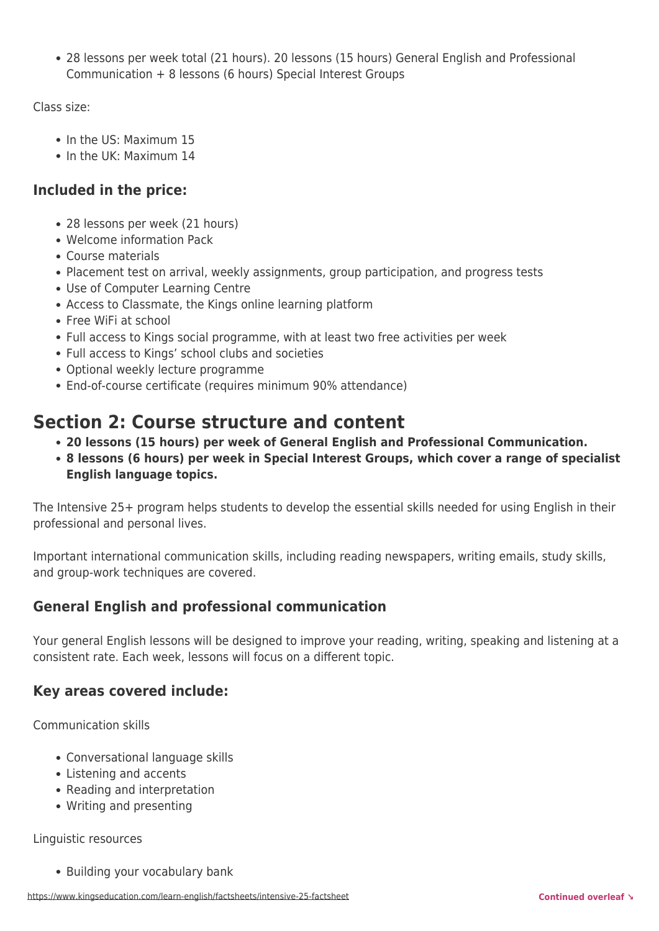28 lessons per week total (21 hours). 20 lessons (15 hours) General English and Professional Communication + 8 lessons (6 hours) Special Interest Groups

Class size:

- In the US: Maximum 15
- In the UK: Maximum 14

#### **Included in the price:**

- 28 lessons per week (21 hours)
- Welcome information Pack
- Course materials
- Placement test on arrival, weekly assignments, group participation, and progress tests
- Use of Computer Learning Centre
- Access to Classmate, the Kings online learning platform
- Free WiFi at school
- Full access to Kings social programme, with at least two free activities per week
- Full access to Kings' school clubs and societies
- Optional weekly lecture programme
- End-of-course certificate (requires minimum 90% attendance)

## **Section 2: Course structure and content**

- **20 lessons (15 hours) per week of General English and Professional Communication.**
- **8 lessons (6 hours) per week in Special Interest Groups, which cover a range of specialist English language topics.**

The Intensive 25+ program helps students to develop the essential skills needed for using English in their professional and personal lives.

Important international communication skills, including reading newspapers, writing emails, study skills, and group-work techniques are covered.

#### **General English and professional communication**

Your general English lessons will be designed to improve your reading, writing, speaking and listening at a consistent rate. Each week, lessons will focus on a different topic.

#### **Key areas covered include:**

Communication skills

- Conversational language skills
- Listening and accents
- Reading and interpretation
- Writing and presenting

Linguistic resources

• Building your vocabulary bank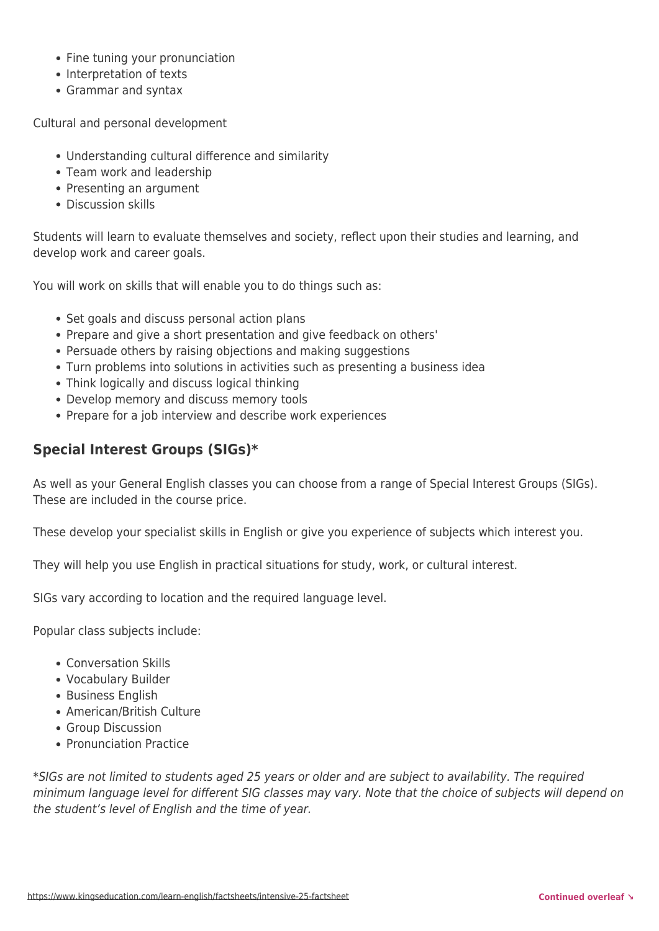- Fine tuning your pronunciation
- Interpretation of texts
- Grammar and syntax

Cultural and personal development

- Understanding cultural difference and similarity
- Team work and leadership
- Presenting an argument
- Discussion skills

Students will learn to evaluate themselves and society, reflect upon their studies and learning, and develop work and career goals.

You will work on skills that will enable you to do things such as:

- Set goals and discuss personal action plans
- Prepare and give a short presentation and give feedback on others'
- Persuade others by raising objections and making suggestions
- Turn problems into solutions in activities such as presenting a business idea
- Think logically and discuss logical thinking
- Develop memory and discuss memory tools
- Prepare for a job interview and describe work experiences

#### **Special Interest Groups (SIGs)\***

As well as your General English classes you can choose from a range of Special Interest Groups (SIGs). These are included in the course price.

These develop your specialist skills in English or give you experience of subjects which interest you.

They will help you use English in practical situations for study, work, or cultural interest.

SIGs vary according to location and the required language level.

Popular class subjects include:

- Conversation Skills
- Vocabulary Builder
- Business English
- American/British Culture
- Group Discussion
- Pronunciation Practice

\*SIGs are not limited to students aged 25 years or older and are subject to availability. The required minimum language level for different SIG classes may vary. Note that the choice of subjects will depend on the student's level of English and the time of year.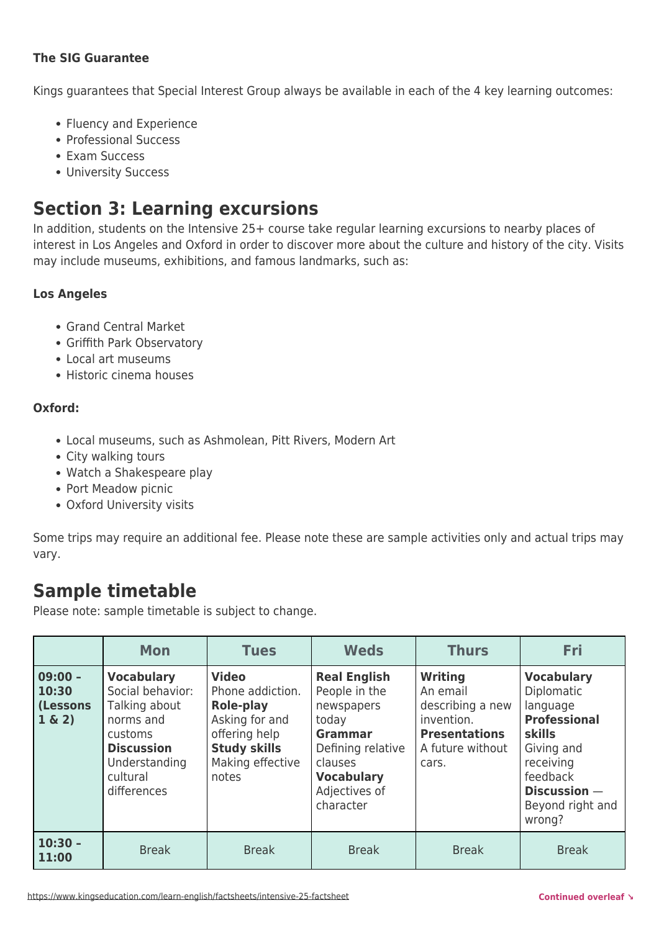#### **The SIG Guarantee**

Kings guarantees that Special Interest Group always be available in each of the 4 key learning outcomes:

- Fluency and Experience
- Professional Success
- Exam Success
- University Success

## **Section 3: Learning excursions**

In addition, students on the Intensive 25+ course take regular learning excursions to nearby places of interest in Los Angeles and Oxford in order to discover more about the culture and history of the city. Visits may include museums, exhibitions, and famous landmarks, such as:

#### **Los Angeles**

- Grand Central Market
- Griffith Park Observatory
- Local art museums
- Historic cinema houses

#### **Oxford:**

- Local museums, such as Ashmolean, Pitt Rivers, Modern Art
- City walking tours
- Watch a Shakespeare play
- Port Meadow picnic
- Oxford University visits

Some trips may require an additional fee. Please note these are sample activities only and actual trips may vary.

### **Sample timetable**

Please note: sample timetable is subject to change.

|                                                 | <b>Mon</b>                                                                                                                                      | <b>Tues</b>                                                                                                                          | <b>Weds</b>                                                                                                                                                      | <b>Thurs</b>                                                                                                      | Fri                                                                                                                                                                             |
|-------------------------------------------------|-------------------------------------------------------------------------------------------------------------------------------------------------|--------------------------------------------------------------------------------------------------------------------------------------|------------------------------------------------------------------------------------------------------------------------------------------------------------------|-------------------------------------------------------------------------------------------------------------------|---------------------------------------------------------------------------------------------------------------------------------------------------------------------------------|
| $09:00 -$<br>10:30<br><b>(Lessons</b><br>1 & 2) | <b>Vocabulary</b><br>Social behavior:<br>Talking about<br>norms and<br>customs<br><b>Discussion</b><br>Understanding<br>cultural<br>differences | <b>Video</b><br>Phone addiction.<br>Role-play<br>Asking for and<br>offering help<br><b>Study skills</b><br>Making effective<br>notes | <b>Real English</b><br>People in the<br>newspapers<br>today<br><b>Grammar</b><br>Defining relative<br>clauses<br><b>Vocabulary</b><br>Adjectives of<br>character | <b>Writing</b><br>An email<br>describing a new<br>invention.<br><b>Presentations</b><br>A future without<br>cars. | <b>Vocabulary</b><br><b>Diplomatic</b><br>language<br><b>Professional</b><br><b>skills</b><br>Giving and<br>receiving<br>feedback<br>Discussion -<br>Beyond right and<br>wrong? |
| $10:30 -$<br>11:00                              | <b>Break</b>                                                                                                                                    | <b>Break</b>                                                                                                                         | <b>Break</b>                                                                                                                                                     | <b>Break</b>                                                                                                      | <b>Break</b>                                                                                                                                                                    |